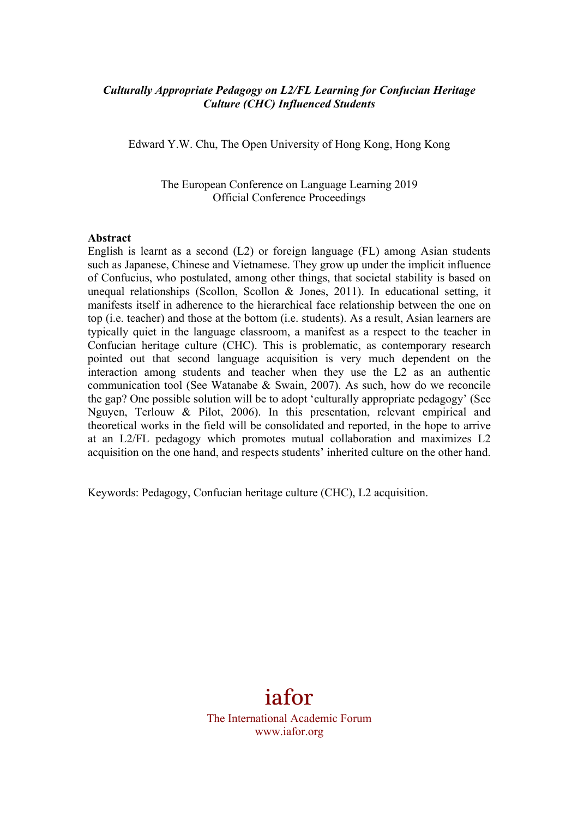# *Culturally Appropriate Pedagogy on L2/FL Learning for Confucian Heritage Culture (CHC) Influenced Students*

Edward Y.W. Chu, The Open University of Hong Kong, Hong Kong

The European Conference on Language Learning 2019 Official Conference Proceedings

#### **Abstract**

English is learnt as a second (L2) or foreign language (FL) among Asian students such as Japanese, Chinese and Vietnamese. They grow up under the implicit influence of Confucius, who postulated, among other things, that societal stability is based on unequal relationships (Scollon, Scollon & Jones, 2011). In educational setting, it manifests itself in adherence to the hierarchical face relationship between the one on top (i.e. teacher) and those at the bottom (i.e. students). As a result, Asian learners are typically quiet in the language classroom, a manifest as a respect to the teacher in Confucian heritage culture (CHC). This is problematic, as contemporary research pointed out that second language acquisition is very much dependent on the interaction among students and teacher when they use the L2 as an authentic communication tool (See Watanabe & Swain, 2007). As such, how do we reconcile the gap? One possible solution will be to adopt 'culturally appropriate pedagogy' (See Nguyen, Terlouw & Pilot, 2006). In this presentation, relevant empirical and theoretical works in the field will be consolidated and reported, in the hope to arrive at an L2/FL pedagogy which promotes mutual collaboration and maximizes L2 acquisition on the one hand, and respects students' inherited culture on the other hand.

Keywords: Pedagogy, Confucian heritage culture (CHC), L2 acquisition.

# iafor

The International Academic Forum www.iafor.org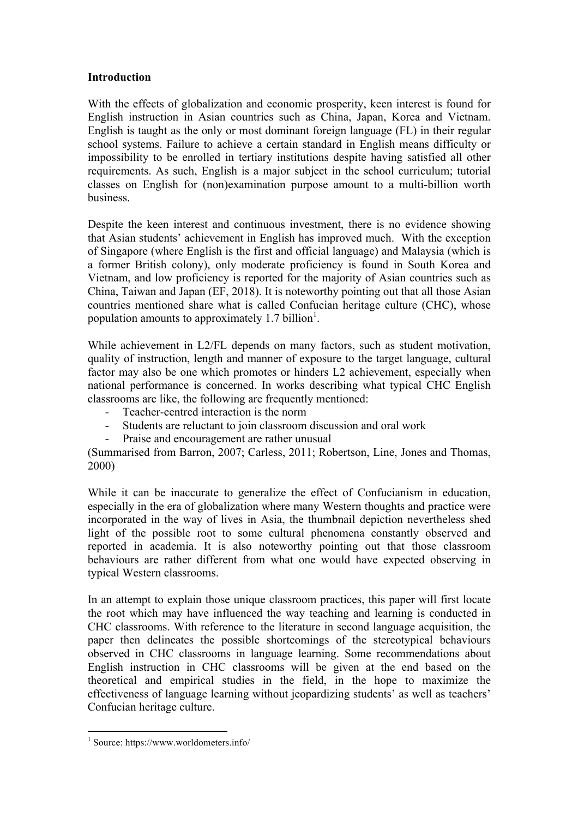## **Introduction**

With the effects of globalization and economic prosperity, keen interest is found for English instruction in Asian countries such as China, Japan, Korea and Vietnam. English is taught as the only or most dominant foreign language (FL) in their regular school systems. Failure to achieve a certain standard in English means difficulty or impossibility to be enrolled in tertiary institutions despite having satisfied all other requirements. As such, English is a major subject in the school curriculum; tutorial classes on English for (non)examination purpose amount to a multi-billion worth business.

Despite the keen interest and continuous investment, there is no evidence showing that Asian students' achievement in English has improved much. With the exception of Singapore (where English is the first and official language) and Malaysia (which is a former British colony), only moderate proficiency is found in South Korea and Vietnam, and low proficiency is reported for the majority of Asian countries such as China, Taiwan and Japan (EF, 2018). It is noteworthy pointing out that all those Asian countries mentioned share what is called Confucian heritage culture (CHC), whose population amounts to approximately 1.7 billion<sup>1</sup>.

While achievement in L2/FL depends on many factors, such as student motivation, quality of instruction, length and manner of exposure to the target language, cultural factor may also be one which promotes or hinders L2 achievement, especially when national performance is concerned. In works describing what typical CHC English classrooms are like, the following are frequently mentioned:

- Teacher-centred interaction is the norm
- Students are reluctant to join classroom discussion and oral work
- Praise and encouragement are rather unusual

(Summarised from Barron, 2007; Carless, 2011; Robertson, Line, Jones and Thomas, 2000)

While it can be inaccurate to generalize the effect of Confucianism in education, especially in the era of globalization where many Western thoughts and practice were incorporated in the way of lives in Asia, the thumbnail depiction nevertheless shed light of the possible root to some cultural phenomena constantly observed and reported in academia. It is also noteworthy pointing out that those classroom behaviours are rather different from what one would have expected observing in typical Western classrooms.

In an attempt to explain those unique classroom practices, this paper will first locate the root which may have influenced the way teaching and learning is conducted in CHC classrooms. With reference to the literature in second language acquisition, the paper then delineates the possible shortcomings of the stereotypical behaviours observed in CHC classrooms in language learning. Some recommendations about English instruction in CHC classrooms will be given at the end based on the theoretical and empirical studies in the field, in the hope to maximize the effectiveness of language learning without jeopardizing students' as well as teachers' Confucian heritage culture.

 <sup>1</sup> Source: https://www.worldometers.info/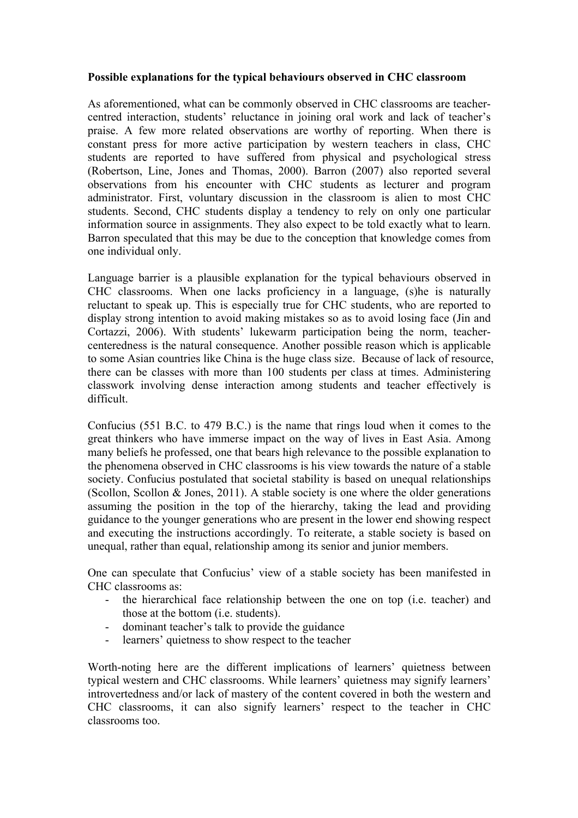## **Possible explanations for the typical behaviours observed in CHC classroom**

As aforementioned, what can be commonly observed in CHC classrooms are teachercentred interaction, students' reluctance in joining oral work and lack of teacher's praise. A few more related observations are worthy of reporting. When there is constant press for more active participation by western teachers in class, CHC students are reported to have suffered from physical and psychological stress (Robertson, Line, Jones and Thomas, 2000). Barron (2007) also reported several observations from his encounter with CHC students as lecturer and program administrator. First, voluntary discussion in the classroom is alien to most CHC students. Second, CHC students display a tendency to rely on only one particular information source in assignments. They also expect to be told exactly what to learn. Barron speculated that this may be due to the conception that knowledge comes from one individual only.

Language barrier is a plausible explanation for the typical behaviours observed in CHC classrooms. When one lacks proficiency in a language, (s)he is naturally reluctant to speak up. This is especially true for CHC students, who are reported to display strong intention to avoid making mistakes so as to avoid losing face (Jin and Cortazzi, 2006). With students' lukewarm participation being the norm, teachercenteredness is the natural consequence. Another possible reason which is applicable to some Asian countries like China is the huge class size. Because of lack of resource, there can be classes with more than 100 students per class at times. Administering classwork involving dense interaction among students and teacher effectively is difficult.

Confucius (551 B.C. to 479 B.C.) is the name that rings loud when it comes to the great thinkers who have immerse impact on the way of lives in East Asia. Among many beliefs he professed, one that bears high relevance to the possible explanation to the phenomena observed in CHC classrooms is his view towards the nature of a stable society. Confucius postulated that societal stability is based on unequal relationships (Scollon, Scollon  $\&$  Jones, 2011). A stable society is one where the older generations assuming the position in the top of the hierarchy, taking the lead and providing guidance to the younger generations who are present in the lower end showing respect and executing the instructions accordingly. To reiterate, a stable society is based on unequal, rather than equal, relationship among its senior and junior members.

One can speculate that Confucius' view of a stable society has been manifested in CHC classrooms as:

- the hierarchical face relationship between the one on top (i.e. teacher) and those at the bottom (i.e. students).
- dominant teacher's talk to provide the guidance
- learners' quietness to show respect to the teacher

Worth-noting here are the different implications of learners' quietness between typical western and CHC classrooms. While learners' quietness may signify learners' introvertedness and/or lack of mastery of the content covered in both the western and CHC classrooms, it can also signify learners' respect to the teacher in CHC classrooms too.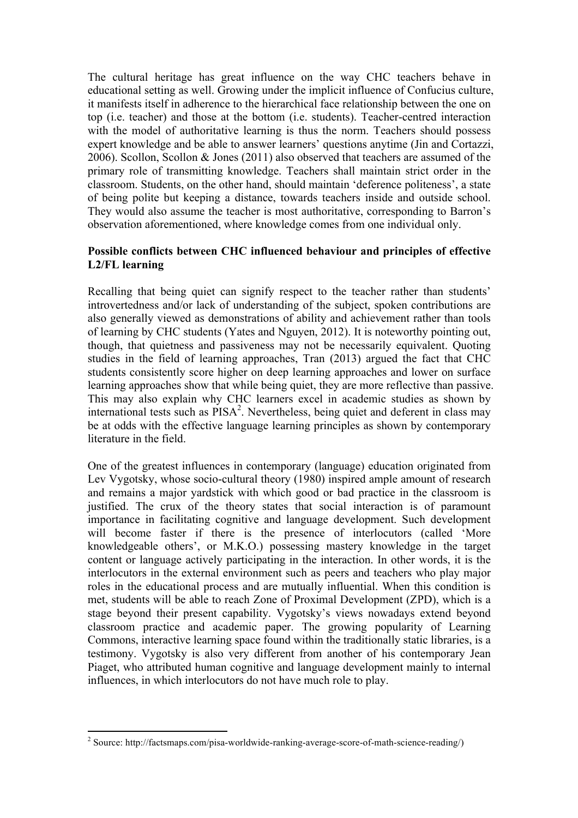The cultural heritage has great influence on the way CHC teachers behave in educational setting as well. Growing under the implicit influence of Confucius culture, it manifests itself in adherence to the hierarchical face relationship between the one on top (i.e. teacher) and those at the bottom (i.e. students). Teacher-centred interaction with the model of authoritative learning is thus the norm. Teachers should possess expert knowledge and be able to answer learners' questions anytime (Jin and Cortazzi, 2006). Scollon, Scollon & Jones (2011) also observed that teachers are assumed of the primary role of transmitting knowledge. Teachers shall maintain strict order in the classroom. Students, on the other hand, should maintain 'deference politeness', a state of being polite but keeping a distance, towards teachers inside and outside school. They would also assume the teacher is most authoritative, corresponding to Barron's observation aforementioned, where knowledge comes from one individual only.

## **Possible conflicts between CHC influenced behaviour and principles of effective L2/FL learning**

Recalling that being quiet can signify respect to the teacher rather than students' introvertedness and/or lack of understanding of the subject, spoken contributions are also generally viewed as demonstrations of ability and achievement rather than tools of learning by CHC students (Yates and Nguyen, 2012). It is noteworthy pointing out, though, that quietness and passiveness may not be necessarily equivalent. Quoting studies in the field of learning approaches, Tran (2013) argued the fact that CHC students consistently score higher on deep learning approaches and lower on surface learning approaches show that while being quiet, they are more reflective than passive. This may also explain why CHC learners excel in academic studies as shown by international tests such as  $PISA<sup>2</sup>$ . Nevertheless, being quiet and deferent in class may be at odds with the effective language learning principles as shown by contemporary literature in the field.

One of the greatest influences in contemporary (language) education originated from Lev Vygotsky, whose socio-cultural theory (1980) inspired ample amount of research and remains a major yardstick with which good or bad practice in the classroom is justified. The crux of the theory states that social interaction is of paramount importance in facilitating cognitive and language development. Such development will become faster if there is the presence of interlocutors (called 'More knowledgeable others', or M.K.O.) possessing mastery knowledge in the target content or language actively participating in the interaction. In other words, it is the interlocutors in the external environment such as peers and teachers who play major roles in the educational process and are mutually influential. When this condition is met, students will be able to reach Zone of Proximal Development (ZPD), which is a stage beyond their present capability. Vygotsky's views nowadays extend beyond classroom practice and academic paper. The growing popularity of Learning Commons, interactive learning space found within the traditionally static libraries, is a testimony. Vygotsky is also very different from another of his contemporary Jean Piaget, who attributed human cognitive and language development mainly to internal influences, in which interlocutors do not have much role to play.

<sup>&</sup>lt;sup>2</sup> Source: http://factsmaps.com/pisa-worldwide-ranking-average-score-of-math-science-reading/)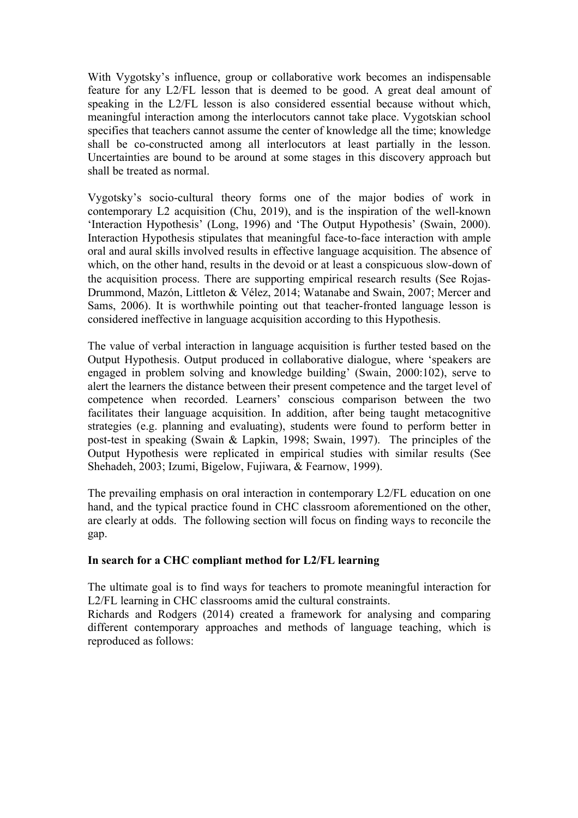With Vygotsky's influence, group or collaborative work becomes an indispensable feature for any L2/FL lesson that is deemed to be good. A great deal amount of speaking in the L2/FL lesson is also considered essential because without which, meaningful interaction among the interlocutors cannot take place. Vygotskian school specifies that teachers cannot assume the center of knowledge all the time; knowledge shall be co-constructed among all interlocutors at least partially in the lesson. Uncertainties are bound to be around at some stages in this discovery approach but shall be treated as normal.

Vygotsky's socio-cultural theory forms one of the major bodies of work in contemporary L2 acquisition (Chu, 2019), and is the inspiration of the well-known 'Interaction Hypothesis' (Long, 1996) and 'The Output Hypothesis' (Swain, 2000). Interaction Hypothesis stipulates that meaningful face-to-face interaction with ample oral and aural skills involved results in effective language acquisition. The absence of which, on the other hand, results in the devoid or at least a conspicuous slow-down of the acquisition process. There are supporting empirical research results (See Rojas-Drummond, Mazón, Littleton & Vélez, 2014; Watanabe and Swain, 2007; Mercer and Sams, 2006). It is worthwhile pointing out that teacher-fronted language lesson is considered ineffective in language acquisition according to this Hypothesis.

The value of verbal interaction in language acquisition is further tested based on the Output Hypothesis. Output produced in collaborative dialogue, where 'speakers are engaged in problem solving and knowledge building' (Swain, 2000:102), serve to alert the learners the distance between their present competence and the target level of competence when recorded. Learners' conscious comparison between the two facilitates their language acquisition. In addition, after being taught metacognitive strategies (e.g. planning and evaluating), students were found to perform better in post-test in speaking (Swain & Lapkin, 1998; Swain, 1997). The principles of the Output Hypothesis were replicated in empirical studies with similar results (See Shehadeh, 2003; Izumi, Bigelow, Fujiwara, & Fearnow, 1999).

The prevailing emphasis on oral interaction in contemporary L2/FL education on one hand, and the typical practice found in CHC classroom aforementioned on the other, are clearly at odds. The following section will focus on finding ways to reconcile the gap.

#### **In search for a CHC compliant method for L2/FL learning**

The ultimate goal is to find ways for teachers to promote meaningful interaction for L2/FL learning in CHC classrooms amid the cultural constraints.

Richards and Rodgers (2014) created a framework for analysing and comparing different contemporary approaches and methods of language teaching, which is reproduced as follows: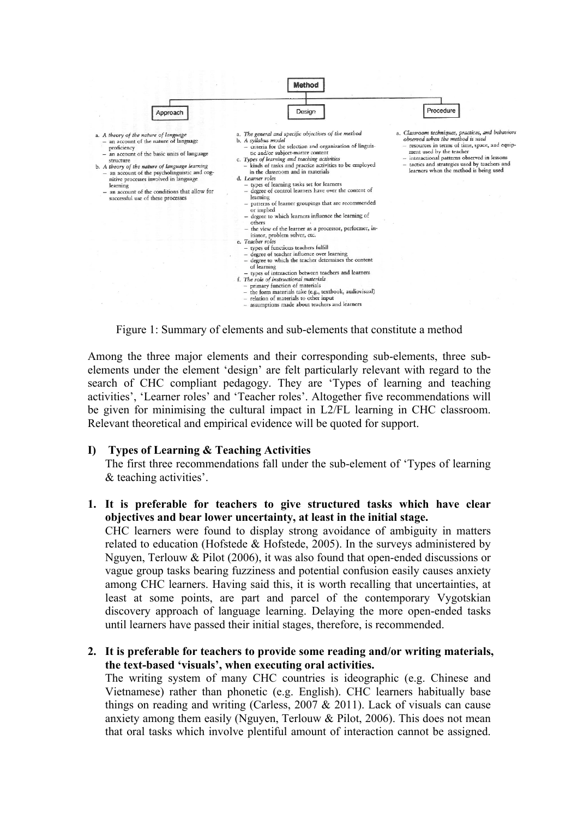

Figure 1: Summary of elements and sub-elements that constitute a method

Among the three major elements and their corresponding sub-elements, three subelements under the element 'design' are felt particularly relevant with regard to the search of CHC compliant pedagogy. They are 'Types of learning and teaching activities', 'Learner roles' and 'Teacher roles'. Altogether five recommendations will be given for minimising the cultural impact in L2/FL learning in CHC classroom. Relevant theoretical and empirical evidence will be quoted for support.

#### **I) Types of Learning & Teaching Activities**

The first three recommendations fall under the sub-element of 'Types of learning & teaching activities'.

**1. It is preferable for teachers to give structured tasks which have clear objectives and bear lower uncertainty, at least in the initial stage.**

CHC learners were found to display strong avoidance of ambiguity in matters related to education (Hofstede & Hofstede, 2005). In the surveys administered by Nguyen, Terlouw & Pilot (2006), it was also found that open-ended discussions or vague group tasks bearing fuzziness and potential confusion easily causes anxiety among CHC learners. Having said this, it is worth recalling that uncertainties, at least at some points, are part and parcel of the contemporary Vygotskian discovery approach of language learning. Delaying the more open-ended tasks until learners have passed their initial stages, therefore, is recommended.

**2. It is preferable for teachers to provide some reading and/or writing materials, the text-based 'visuals', when executing oral activities.**

The writing system of many CHC countries is ideographic (e.g. Chinese and Vietnamese) rather than phonetic (e.g. English). CHC learners habitually base things on reading and writing (Carless, 2007 & 2011). Lack of visuals can cause anxiety among them easily (Nguyen, Terlouw & Pilot, 2006). This does not mean that oral tasks which involve plentiful amount of interaction cannot be assigned.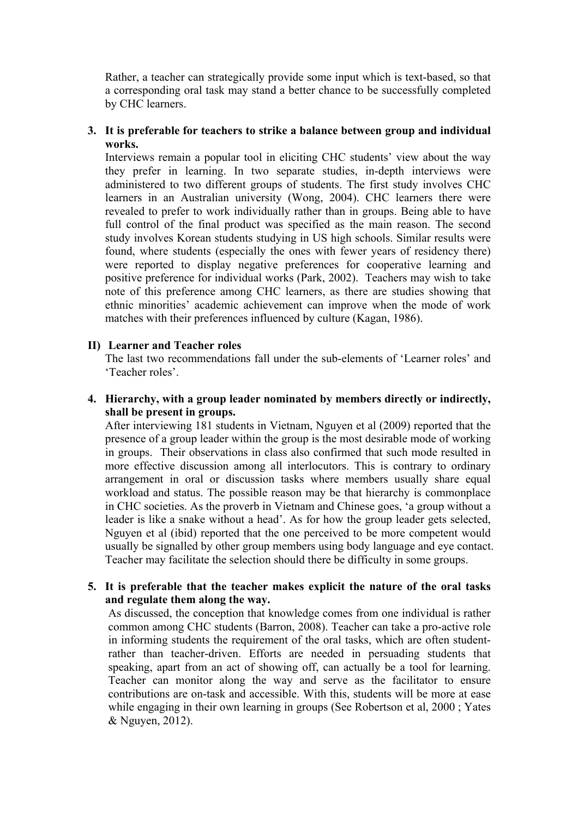Rather, a teacher can strategically provide some input which is text-based, so that a corresponding oral task may stand a better chance to be successfully completed by CHC learners.

## **3. It is preferable for teachers to strike a balance between group and individual works.**

Interviews remain a popular tool in eliciting CHC students' view about the way they prefer in learning. In two separate studies, in-depth interviews were administered to two different groups of students. The first study involves CHC learners in an Australian university (Wong, 2004). CHC learners there were revealed to prefer to work individually rather than in groups. Being able to have full control of the final product was specified as the main reason. The second study involves Korean students studying in US high schools. Similar results were found, where students (especially the ones with fewer years of residency there) were reported to display negative preferences for cooperative learning and positive preference for individual works (Park, 2002). Teachers may wish to take note of this preference among CHC learners, as there are studies showing that ethnic minorities' academic achievement can improve when the mode of work matches with their preferences influenced by culture (Kagan, 1986).

## **II) Learner and Teacher roles**

The last two recommendations fall under the sub-elements of 'Learner roles' and 'Teacher roles'.

# **4. Hierarchy, with a group leader nominated by members directly or indirectly, shall be present in groups.**

After interviewing 181 students in Vietnam, Nguyen et al (2009) reported that the presence of a group leader within the group is the most desirable mode of working in groups. Their observations in class also confirmed that such mode resulted in more effective discussion among all interlocutors. This is contrary to ordinary arrangement in oral or discussion tasks where members usually share equal workload and status. The possible reason may be that hierarchy is commonplace in CHC societies. As the proverb in Vietnam and Chinese goes, 'a group without a leader is like a snake without a head'. As for how the group leader gets selected, Nguyen et al (ibid) reported that the one perceived to be more competent would usually be signalled by other group members using body language and eye contact. Teacher may facilitate the selection should there be difficulty in some groups.

## **5. It is preferable that the teacher makes explicit the nature of the oral tasks and regulate them along the way.**

As discussed, the conception that knowledge comes from one individual is rather common among CHC students (Barron, 2008). Teacher can take a pro-active role in informing students the requirement of the oral tasks, which are often studentrather than teacher-driven. Efforts are needed in persuading students that speaking, apart from an act of showing off, can actually be a tool for learning. Teacher can monitor along the way and serve as the facilitator to ensure contributions are on-task and accessible. With this, students will be more at ease while engaging in their own learning in groups (See Robertson et al, 2000; Yates & Nguyen, 2012).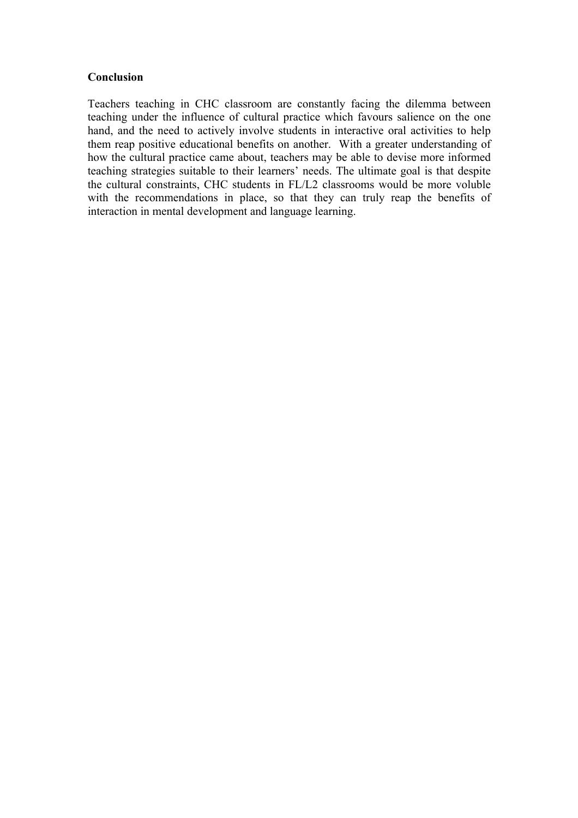## **Conclusion**

Teachers teaching in CHC classroom are constantly facing the dilemma between teaching under the influence of cultural practice which favours salience on the one hand, and the need to actively involve students in interactive oral activities to help them reap positive educational benefits on another. With a greater understanding of how the cultural practice came about, teachers may be able to devise more informed teaching strategies suitable to their learners' needs. The ultimate goal is that despite the cultural constraints, CHC students in FL/L2 classrooms would be more voluble with the recommendations in place, so that they can truly reap the benefits of interaction in mental development and language learning.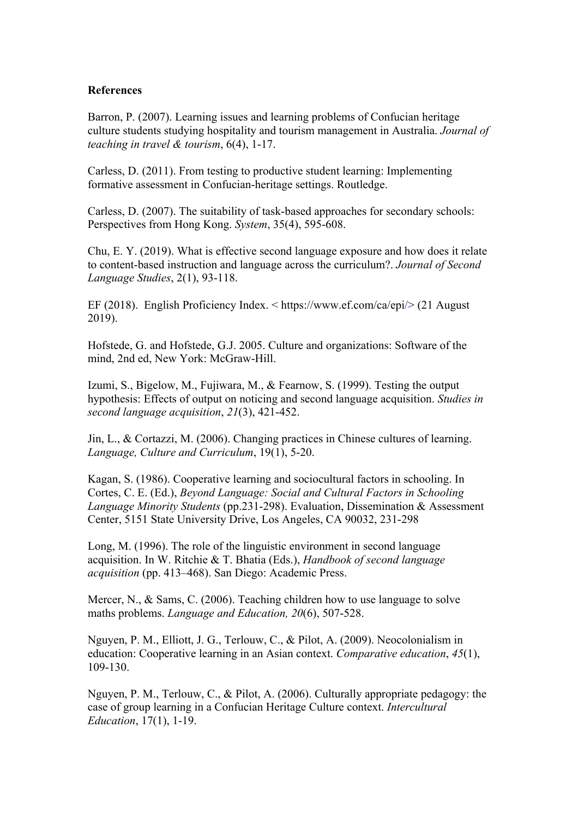#### **References**

Barron, P. (2007). Learning issues and learning problems of Confucian heritage culture students studying hospitality and tourism management in Australia. *Journal of teaching in travel & tourism*, 6(4), 1-17.

Carless, D. (2011). From testing to productive student learning: Implementing formative assessment in Confucian-heritage settings. Routledge.

Carless, D. (2007). The suitability of task-based approaches for secondary schools: Perspectives from Hong Kong. *System*, 35(4), 595-608.

Chu, E. Y. (2019). What is effective second language exposure and how does it relate to content-based instruction and language across the curriculum?. *Journal of Second Language Studies*, 2(1), 93-118.

EF (2018). English Proficiency Index. < https://www.ef.com/ca/epi/> (21 August 2019).

Hofstede, G. and Hofstede, G.J. 2005. Culture and organizations: Software of the mind, 2nd ed, New York: McGraw-Hill.

Izumi, S., Bigelow, M., Fujiwara, M., & Fearnow, S. (1999). Testing the output hypothesis: Effects of output on noticing and second language acquisition. *Studies in second language acquisition*, *21*(3), 421-452.

Jin, L., & Cortazzi, M. (2006). Changing practices in Chinese cultures of learning. *Language, Culture and Curriculum*, 19(1), 5-20.

Kagan, S. (1986). Cooperative learning and sociocultural factors in schooling. In Cortes, C. E. (Ed.), *Beyond Language: Social and Cultural Factors in Schooling Language Minority Students* (pp.231-298). Evaluation, Dissemination & Assessment Center, 5151 State University Drive, Los Angeles, CA 90032, 231-298

Long, M. (1996). The role of the linguistic environment in second language acquisition. In W. Ritchie & T. Bhatia (Eds.), *Handbook of second language acquisition* (pp. 413–468). San Diego: Academic Press.

Mercer, N., & Sams, C. (2006). Teaching children how to use language to solve maths problems. *Language and Education, 20*(6), 507-528.

Nguyen, P. M., Elliott, J. G., Terlouw, C., & Pilot, A. (2009). Neocolonialism in education: Cooperative learning in an Asian context. *Comparative education*, *45*(1), 109-130.

Nguyen, P. M., Terlouw, C., & Pilot, A. (2006). Culturally appropriate pedagogy: the case of group learning in a Confucian Heritage Culture context. *Intercultural Education*, 17(1), 1-19.